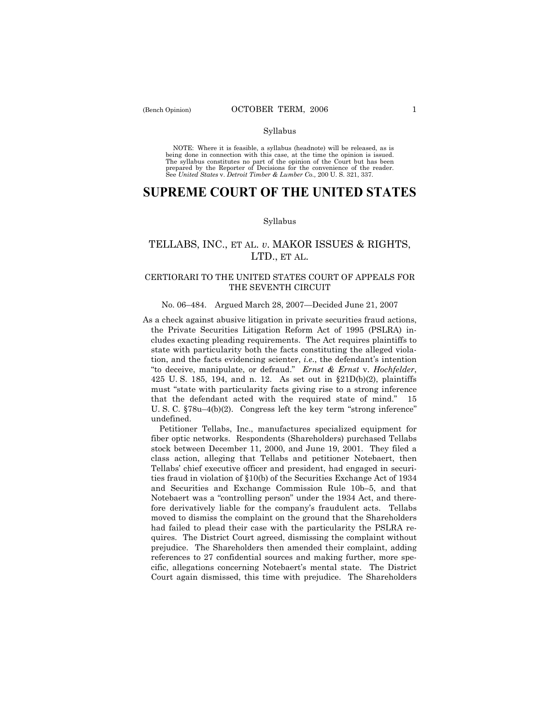NOTE: Where it is feasible, a syllabus (headnote) will be released, as is being done in connection with this case, at the time the opinion is issued. The syllabus constitutes no part of the opinion of the Court but has been<br>prepared by the Reporter of Decisions for the convenience of the reader.<br>See United States v. Detroit Timber & Lumber Co., 200 U. S. 321, 337.

# **SUPREME COURT OF THE UNITED STATES**

### Syllabus

## TELLABS, INC., ET AL. *v*. MAKOR ISSUES & RIGHTS, LTD., ET AL.

### CERTIORARI TO THE UNITED STATES COURT OF APPEALS FOR THE SEVENTH CIRCUIT

### No. 06–484. Argued March 28, 2007–Decided June 21, 2007

As a check against abusive litigation in private securities fraud actions, the Private Securities Litigation Reform Act of 1995 (PSLRA) includes exacting pleading requirements. The Act requires plaintiffs to state with particularity both the facts constituting the alleged violation, and the facts evidencing scienter, *i.e.*, the defendant's intention ìto deceive, manipulate, or defraud.î *Ernst & Ernst* v. *Hochfelder*, 425 U.S. 185, 194, and n. 12. As set out in  $$21D(b)(2)$ , plaintiffs must "state with particularity facts giving rise to a strong inference that the defendant acted with the required state of mind." 15 U. S. C.  $\S78u-4(b)(2)$ . Congress left the key term "strong inference" undefined.

 Petitioner Tellabs, Inc., manufactures specialized equipment for fiber optic networks. Respondents (Shareholders) purchased Tellabs stock between December 11, 2000, and June 19, 2001. They filed a class action, alleging that Tellabs and petitioner Notebaert, then Tellabs' chief executive officer and president, had engaged in securities fraud in violation of ß10(b) of the Securities Exchange Act of 1934 and Securities and Exchange Commission Rule 10b-5, and that Notebaert was a "controlling person" under the 1934 Act, and therefore derivatively liable for the companyís fraudulent acts. Tellabs moved to dismiss the complaint on the ground that the Shareholders had failed to plead their case with the particularity the PSLRA requires. The District Court agreed, dismissing the complaint without prejudice. The Shareholders then amended their complaint, adding references to 27 confidential sources and making further, more specific, allegations concerning Notebaert's mental state. The District Court again dismissed, this time with prejudice. The Shareholders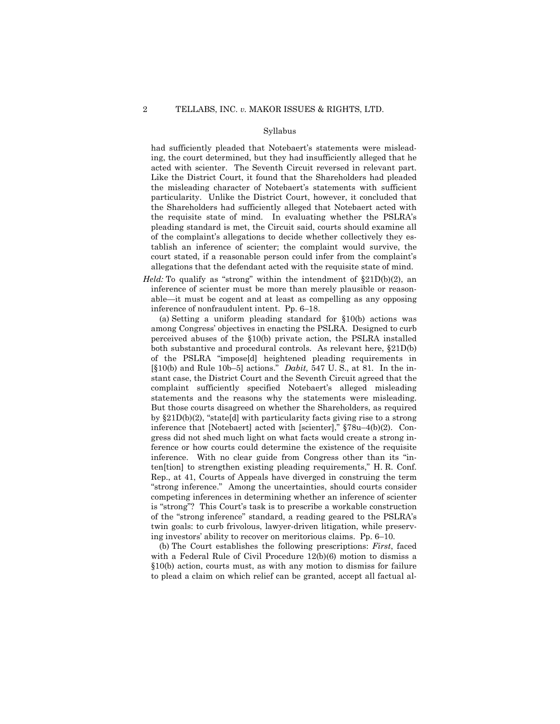had sufficiently pleaded that Notebaert's statements were misleading, the court determined, but they had insufficiently alleged that he acted with scienter. The Seventh Circuit reversed in relevant part. Like the District Court, it found that the Shareholders had pleaded the misleading character of Notebaertís statements with sufficient particularity. Unlike the District Court, however, it concluded that the Shareholders had sufficiently alleged that Notebaert acted with the requisite state of mind. In evaluating whether the PSLRA's pleading standard is met, the Circuit said, courts should examine all of the complaint's allegations to decide whether collectively they establish an inference of scienter; the complaint would survive, the court stated, if a reasonable person could infer from the complaint's allegations that the defendant acted with the requisite state of mind.

*Held:* To qualify as "strong" within the intendment of  $\S21D(b)(2)$ , an inference of scienter must be more than merely plausible or reasonable—it must be cogent and at least as compelling as any opposing inference of nonfraudulent intent. Pp. 6–18.

 (a) Setting a uniform pleading standard for ß10(b) actions was among Congressí objectives in enacting the PSLRA. Designed to curb perceived abuses of the ß10(b) private action, the PSLRA installed both substantive and procedural controls. As relevant here,  $\S21D(b)$ of the PSLRA "impose[d] heightened pleading requirements in [§10(b) and Rule 10b–5] actions." *Dabit*, 547 U. S., at 81. In the instant case, the District Court and the Seventh Circuit agreed that the complaint sufficiently specified Notebaert's alleged misleading statements and the reasons why the statements were misleading. But those courts disagreed on whether the Shareholders, as required by  $\S21D(b)(2)$ , "state[d] with particularity facts giving rise to a strong inference that [Notebaert] acted with [scienter],"  $\S78u-4(b)(2)$ . Congress did not shed much light on what facts would create a strong inference or how courts could determine the existence of the requisite inference. With no clear guide from Congress other than its "inten[tion] to strengthen existing pleading requirements," H.R. Conf. Rep., at 41, Courts of Appeals have diverged in construing the term "strong inference." Among the uncertainties, should courts consider competing inferences in determining whether an inference of scienter is "strong"? This Court's task is to prescribe a workable construction of the "strong inference" standard, a reading geared to the PSLRA's twin goals: to curb frivolous, lawyer-driven litigation, while preserving investors' ability to recover on meritorious claims. Pp.  $6-10$ .

 (b) The Court establishes the following prescriptions: *First*, faced with a Federal Rule of Civil Procedure 12(b)(6) motion to dismiss a ß10(b) action, courts must, as with any motion to dismiss for failure to plead a claim on which relief can be granted, accept all factual al-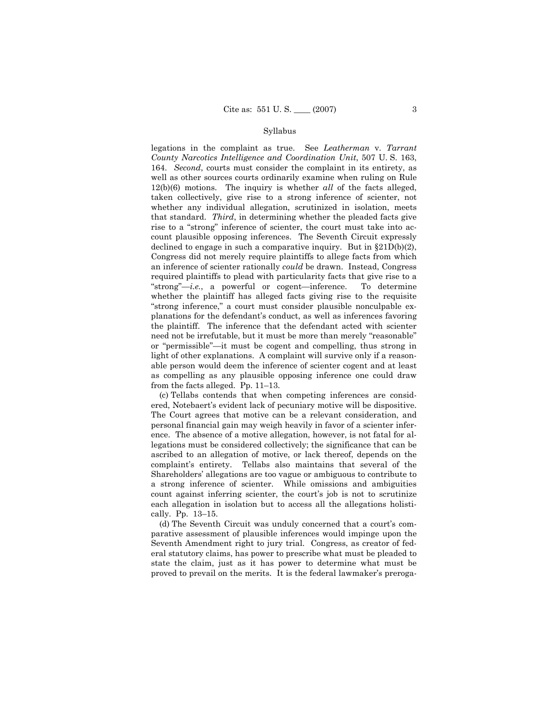legations in the complaint as true. See *Leatherman* v. *Tarrant County Narcotics Intelligence and Coordination Unit*, 507 U. S. 163, 164. *Second*, courts must consider the complaint in its entirety, as well as other sources courts ordinarily examine when ruling on Rule 12(b)(6) motions. The inquiry is whether *all* of the facts alleged, taken collectively, give rise to a strong inference of scienter, not whether any individual allegation, scrutinized in isolation, meets that standard. *Third*, in determining whether the pleaded facts give rise to a "strong" inference of scienter, the court must take into account plausible opposing inferences. The Seventh Circuit expressly declined to engage in such a comparative inquiry. But in  $\S21D(b)(2)$ , Congress did not merely require plaintiffs to allege facts from which an inference of scienter rationally *could* be drawn. Instead, Congress required plaintiffs to plead with particularity facts that give rise to a  $"strong"—i.e., a powerful or cogent—inference. To determine$ whether the plaintiff has alleged facts giving rise to the requisite "strong inference," a court must consider plausible nonculpable explanations for the defendant's conduct, as well as inferences favoring the plaintiff. The inference that the defendant acted with scienter need not be irrefutable, but it must be more than merely "reasonable" or "permissible"—it must be cogent and compelling, thus strong in light of other explanations. A complaint will survive only if a reasonable person would deem the inference of scienter cogent and at least as compelling as any plausible opposing inference one could draw from the facts alleged. Pp.  $11-13$ .

 (c) Tellabs contends that when competing inferences are considered, Notebaert's evident lack of pecuniary motive will be dispositive. The Court agrees that motive can be a relevant consideration, and personal financial gain may weigh heavily in favor of a scienter inference. The absence of a motive allegation, however, is not fatal for allegations must be considered collectively; the significance that can be ascribed to an allegation of motive, or lack thereof, depends on the complaint's entirety. Tellabs also maintains that several of the Shareholdersí allegations are too vague or ambiguous to contribute to a strong inference of scienter. While omissions and ambiguities count against inferring scienter, the court's job is not to scrutinize each allegation in isolation but to access all the allegations holistically. Pp.  $13-15$ .

(d) The Seventh Circuit was unduly concerned that a court's comparative assessment of plausible inferences would impinge upon the Seventh Amendment right to jury trial. Congress, as creator of federal statutory claims, has power to prescribe what must be pleaded to state the claim, just as it has power to determine what must be proved to prevail on the merits. It is the federal lawmaker's preroga-